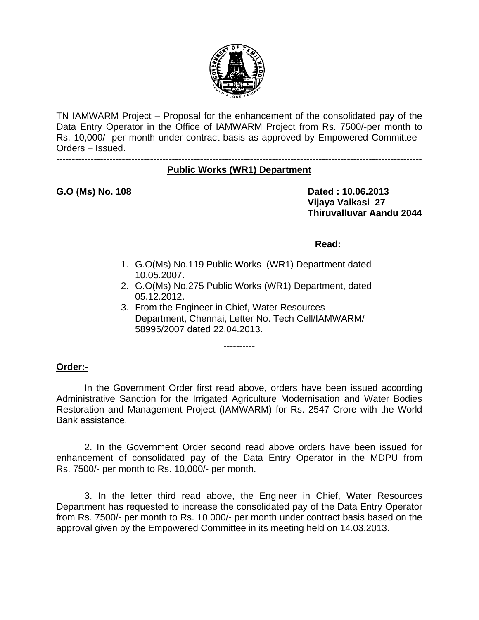

TN IAMWARM Project – Proposal for the enhancement of the consolidated pay of the Data Entry Operator in the Office of IAMWARM Project from Rs. 7500/-per month to Rs. 10,000/- per month under contract basis as approved by Empowered Committee– Orders – Issued.

#### --------------------------------------------------------------------------------------------------------------------- **Public Works (WR1) Department**

G.O (Ms) No. 108 **Dated : 10.06.2013 Vijaya Vaikasi 27 Thiruvalluvar Aandu 2044** 

#### **Read:**

- 1. G.O(Ms) No.119 Public Works (WR1) Department dated 10.05.2007.
- 2. G.O(Ms) No.275 Public Works (WR1) Department, dated 05.12.2012.
- 3. From the Engineer in Chief, Water Resources Department, Chennai, Letter No. Tech Cell/IAMWARM/ 58995/2007 dated 22.04.2013.

----------

### **Order:-**

In the Government Order first read above, orders have been issued according Administrative Sanction for the Irrigated Agriculture Modernisation and Water Bodies Restoration and Management Project (IAMWARM) for Rs. 2547 Crore with the World Bank assistance.

2. In the Government Order second read above orders have been issued for enhancement of consolidated pay of the Data Entry Operator in the MDPU from Rs. 7500/- per month to Rs. 10,000/- per month.

3. In the letter third read above, the Engineer in Chief, Water Resources Department has requested to increase the consolidated pay of the Data Entry Operator from Rs. 7500/- per month to Rs. 10,000/- per month under contract basis based on the approval given by the Empowered Committee in its meeting held on 14.03.2013.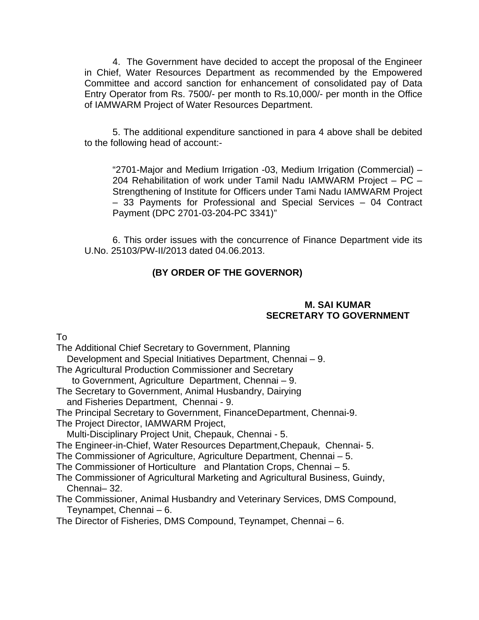4. The Government have decided to accept the proposal of the Engineer in Chief, Water Resources Department as recommended by the Empowered Committee and accord sanction for enhancement of consolidated pay of Data Entry Operator from Rs. 7500/- per month to Rs.10,000/- per month in the Office of IAMWARM Project of Water Resources Department.

5. The additional expenditure sanctioned in para 4 above shall be debited to the following head of account:-

"2701-Major and Medium Irrigation -03, Medium Irrigation (Commercial) – 204 Rehabilitation of work under Tamil Nadu IAMWARM Project – PC – Strengthening of Institute for Officers under Tami Nadu IAMWARM Project – 33 Payments for Professional and Special Services – 04 Contract Payment (DPC 2701-03-204-PC 3341)"

6. This order issues with the concurrence of Finance Department vide its U.No. 25103/PW-II/2013 dated 04.06.2013.

# **(BY ORDER OF THE GOVERNOR)**

### **M. SAI KUMAR SECRETARY TO GOVERNMENT**

To

The Additional Chief Secretary to Government, Planning Development and Special Initiatives Department, Chennai – 9. The Agricultural Production Commissioner and Secretary to Government, Agriculture Department, Chennai – 9. The Secretary to Government, Animal Husbandry, Dairying and Fisheries Department, Chennai - 9. The Principal Secretary to Government, FinanceDepartment, Chennai-9. The Project Director, IAMWARM Project, Multi-Disciplinary Project Unit, Chepauk, Chennai - 5. The Engineer-in-Chief, Water Resources Department,Chepauk, Chennai- 5. The Commissioner of Agriculture, Agriculture Department, Chennai – 5. The Commissioner of Horticulture and Plantation Crops, Chennai – 5. The Commissioner of Agricultural Marketing and Agricultural Business, Guindy, Chennai– 32. The Commissioner, Animal Husbandry and Veterinary Services, DMS Compound, Teynampet, Chennai – 6. The Director of Fisheries, DMS Compound, Teynampet, Chennai – 6.